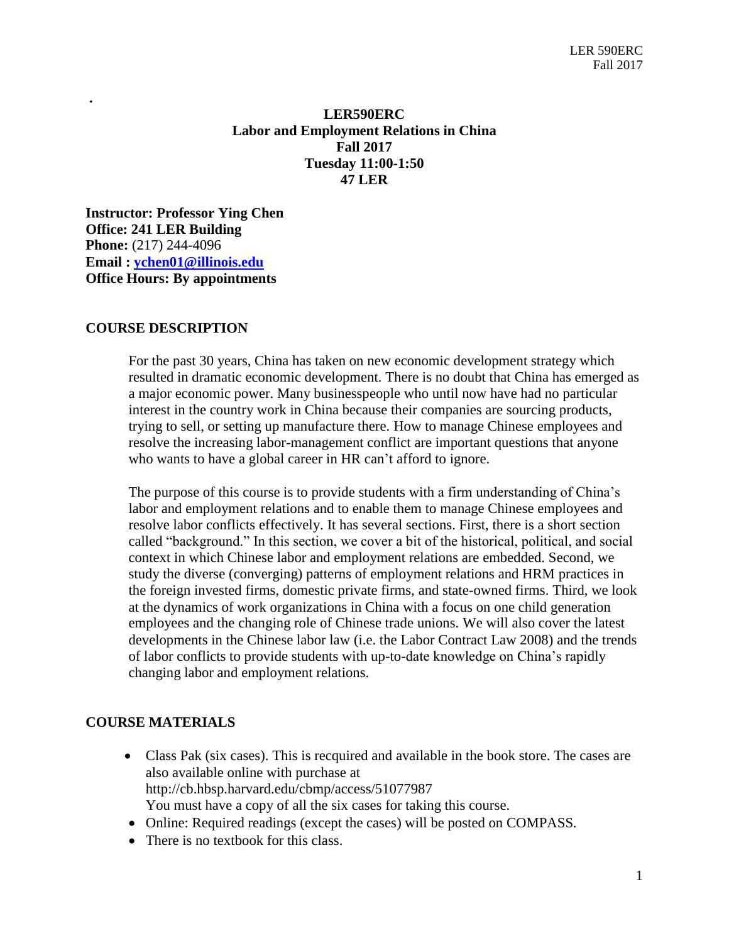# **LER590ERC Labor and Employment Relations in China Fall 2017 Tuesday 11:00-1:50 47 LER**

**Instructor: Professor Ying Chen Office: 241 LER Building Phone:** (217) 244-4096 **Email : [ychen01@illinois.edu](mailto:ychen01@illinois.edu) Office Hours: By appointments**

## **COURSE DESCRIPTION**

**.** 

 For the past 30 years, China has taken on new economic development strategy which resulted in dramatic economic development. There is no doubt that China has emerged as a major economic power. Many businesspeople who until now have had no particular interest in the country work in China because their companies are sourcing products, trying to sell, or setting up manufacture there. How to manage Chinese employees and resolve the increasing labor-management conflict are important questions that anyone who wants to have a global career in HR can't afford to ignore.

 The purpose of this course is to provide students with a firm understanding of China's labor and employment relations and to enable them to manage Chinese employees and resolve labor conflicts effectively. It has several sections. First, there is a short section called "background." In this section, we cover a bit of the historical, political, and social context in which Chinese labor and employment relations are embedded. Second, we study the diverse (converging) patterns of employment relations and HRM practices in the foreign invested firms, domestic private firms, and state-owned firms. Third, we look at the dynamics of work organizations in China with a focus on one child generation employees and the changing role of Chinese trade unions. We will also cover the latest developments in the Chinese labor law (i.e. the Labor Contract Law 2008) and the trends of labor conflicts to provide students with up-to-date knowledge on China's rapidly changing labor and employment relations.

#### **COURSE MATERIALS**

- Class Pak (six cases). This is recquired and available in the book store. The cases are also available online with purchase at http://cb.hbsp.harvard.edu/cbmp/access/51077987 You must have a copy of all the six cases for taking this course.
- Online: Required readings (except the cases) will be posted on COMPASS*.*
- There is no textbook for this class.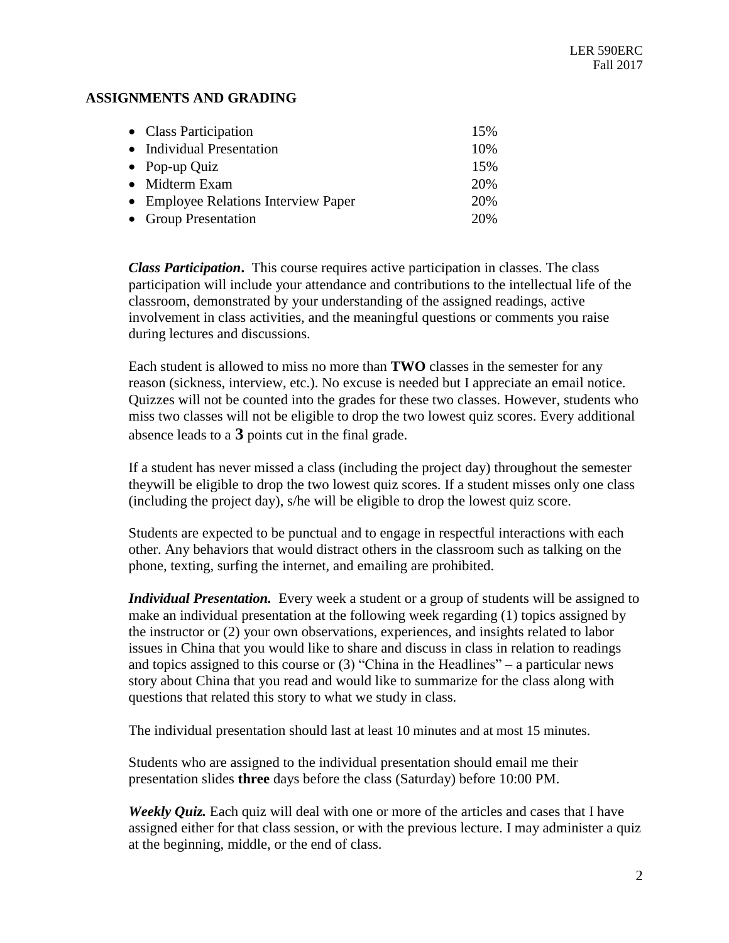## **ASSIGNMENTS AND GRADING**

| • Class Participation                | 15% |
|--------------------------------------|-----|
| • Individual Presentation            | 10% |
| • Pop-up Quiz                        | 15% |
| • Midterm Exam                       | 20% |
| • Employee Relations Interview Paper | 20% |
| • Group Presentation                 | 20% |

*Class Participation***.** This course requires active participation in classes. The class participation will include your attendance and contributions to the intellectual life of the classroom, demonstrated by your understanding of the assigned readings, active involvement in class activities, and the meaningful questions or comments you raise during lectures and discussions.

Each student is allowed to miss no more than **TWO** classes in the semester for any reason (sickness, interview, etc.). No excuse is needed but I appreciate an email notice. Quizzes will not be counted into the grades for these two classes. However, students who miss two classes will not be eligible to drop the two lowest quiz scores. Every additional absence leads to a **3** points cut in the final grade.

If a student has never missed a class (including the project day) throughout the semester theywill be eligible to drop the two lowest quiz scores. If a student misses only one class (including the project day), s/he will be eligible to drop the lowest quiz score.

Students are expected to be punctual and to engage in respectful interactions with each other. Any behaviors that would distract others in the classroom such as talking on the phone, texting, surfing the internet, and emailing are prohibited.

*Individual Presentation.* Every week a student or a group of students will be assigned to make an individual presentation at the following week regarding (1) topics assigned by the instructor or (2) your own observations, experiences, and insights related to labor issues in China that you would like to share and discuss in class in relation to readings and topics assigned to this course or (3) "China in the Headlines" – a particular news story about China that you read and would like to summarize for the class along with questions that related this story to what we study in class.

The individual presentation should last at least 10 minutes and at most 15 minutes.

Students who are assigned to the individual presentation should email me their presentation slides **three** days before the class (Saturday) before 10:00 PM.

*Weekly Quiz.* Each quiz will deal with one or more of the articles and cases that I have assigned either for that class session, or with the previous lecture. I may administer a quiz at the beginning, middle, or the end of class.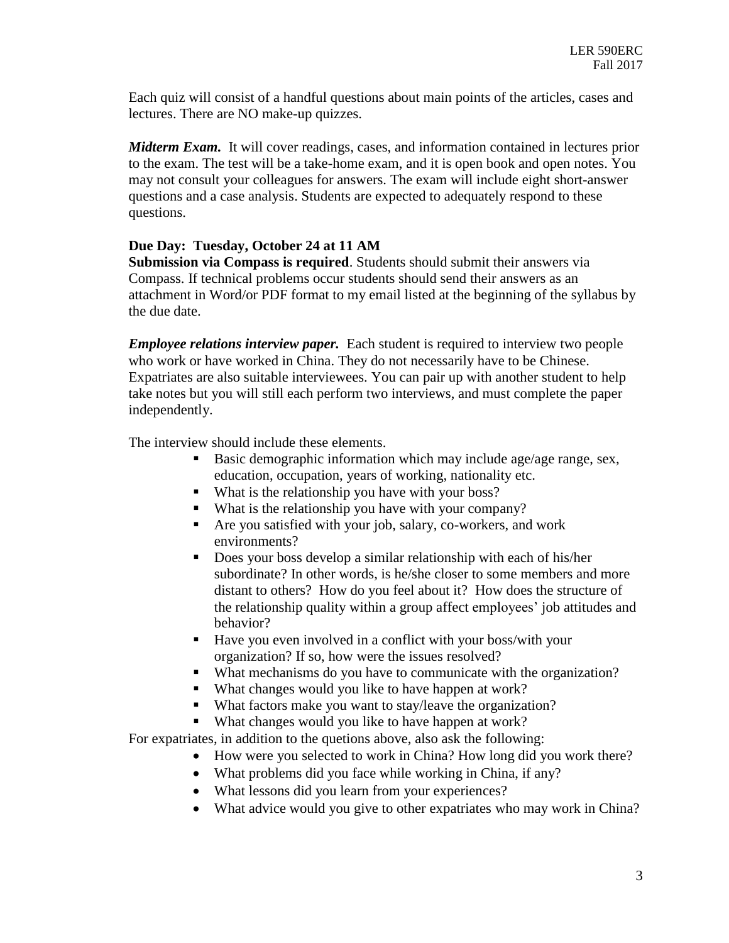Each quiz will consist of a handful questions about main points of the articles, cases and lectures. There are NO make-up quizzes.

*Midterm Exam.* It will cover readings, cases, and information contained in lectures prior to the exam. The test will be a take-home exam, and it is open book and open notes. You may not consult your colleagues for answers. The exam will include eight short-answer questions and a case analysis. Students are expected to adequately respond to these questions.

# **Due Day: Tuesday, October 24 at 11 AM**

**Submission via Compass is required**. Students should submit their answers via Compass. If technical problems occur students should send their answers as an attachment in Word/or PDF format to my email listed at the beginning of the syllabus by the due date.

*Employee relations interview paper.* Each student is required to interview two people who work or have worked in China. They do not necessarily have to be Chinese. Expatriates are also suitable interviewees. You can pair up with another student to help take notes but you will still each perform two interviews, and must complete the paper independently.

The interview should include these elements.

- Basic demographic information which may include age/age range, sex, education, occupation, years of working, nationality etc.
- What is the relationship you have with your boss?
- What is the relationship you have with your company?
- Are you satisfied with your job, salary, co-workers, and work environments?
- Does your boss develop a similar relationship with each of his/her subordinate? In other words, is he/she closer to some members and more distant to others? How do you feel about it? How does the structure of the relationship quality within a group affect employees' job attitudes and behavior?
- Have you even involved in a conflict with your boss/with your organization? If so, how were the issues resolved?
- What mechanisms do you have to communicate with the organization?
- What changes would you like to have happen at work?
- What factors make you want to stay/leave the organization?
- What changes would you like to have happen at work?

For expatriates, in addition to the quetions above, also ask the following:

- How were you selected to work in China? How long did you work there?
- What problems did you face while working in China, if any?
- What lessons did you learn from your experiences?
- What advice would you give to other expatriates who may work in China?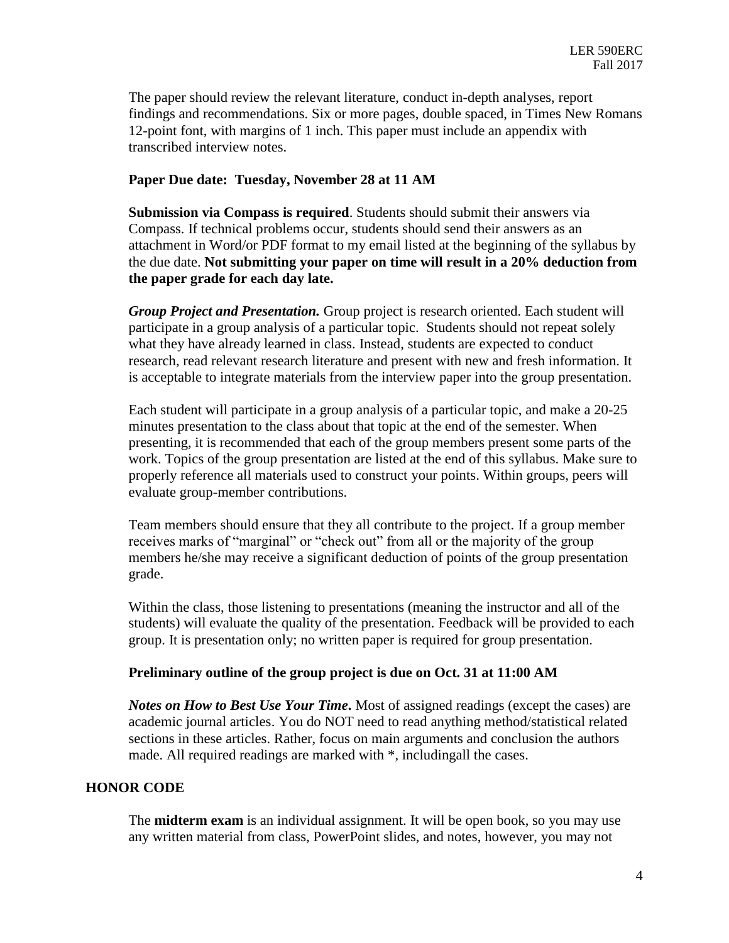The paper should review the relevant literature, conduct in-depth analyses, report findings and recommendations. Six or more pages, double spaced, in Times New Romans 12-point font, with margins of 1 inch. This paper must include an appendix with transcribed interview notes.

#### **Paper Due date: Tuesday, November 28 at 11 AM**

**Submission via Compass is required**. Students should submit their answers via Compass. If technical problems occur, students should send their answers as an attachment in Word/or PDF format to my email listed at the beginning of the syllabus by the due date. **Not submitting your paper on time will result in a 20% deduction from the paper grade for each day late.** 

*Group Project and Presentation.* Group project is research oriented. Each student will participate in a group analysis of a particular topic. Students should not repeat solely what they have already learned in class. Instead, students are expected to conduct research, read relevant research literature and present with new and fresh information. It is acceptable to integrate materials from the interview paper into the group presentation.

Each student will participate in a group analysis of a particular topic, and make a 20-25 minutes presentation to the class about that topic at the end of the semester. When presenting, it is recommended that each of the group members present some parts of the work. Topics of the group presentation are listed at the end of this syllabus. Make sure to properly reference all materials used to construct your points. Within groups, peers will evaluate group-member contributions.

Team members should ensure that they all contribute to the project. If a group member receives marks of "marginal" or "check out" from all or the majority of the group members he/she may receive a significant deduction of points of the group presentation grade.

Within the class, those listening to presentations (meaning the instructor and all of the students) will evaluate the quality of the presentation. Feedback will be provided to each group. It is presentation only; no written paper is required for group presentation.

#### **Preliminary outline of the group project is due on Oct. 31 at 11:00 AM**

*Notes on How to Best Use Your Time***.** Most of assigned readings (except the cases) are academic journal articles. You do NOT need to read anything method/statistical related sections in these articles. Rather, focus on main arguments and conclusion the authors made. All required readings are marked with \*, includingall the cases.

#### **HONOR CODE**

The **midterm exam** is an individual assignment. It will be open book, so you may use any written material from class, PowerPoint slides, and notes, however, you may not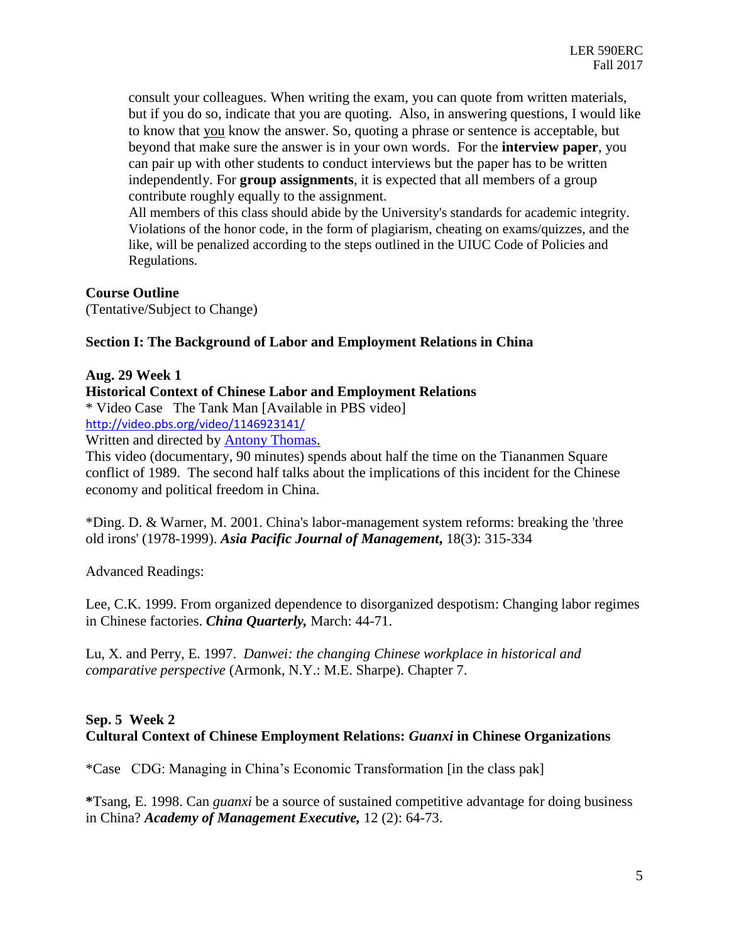consult your colleagues. When writing the exam, you can quote from written materials, but if you do so, indicate that you are quoting. Also, in answering questions, I would like to know that you know the answer. So, quoting a phrase or sentence is acceptable, but beyond that make sure the answer is in your own words. For the **interview paper**, you can pair up with other students to conduct interviews but the paper has to be written independently. For **group assignments**, it is expected that all members of a group contribute roughly equally to the assignment.

All members of this class should abide by the University's standards for academic integrity. Violations of the honor code, in the form of plagiarism, cheating on exams/quizzes, and the like, will be penalized according to the steps outlined in the UIUC Code of Policies and Regulations.

# **Course Outline**

(Tentative/Subject to Change)

## **Section I: The Background of Labor and Employment Relations in China**

#### **Aug. 29 Week 1**

**Historical Context of Chinese Labor and Employment Relations**

\* Video Case The Tank Man [Available in PBS video]

<http://video.pbs.org/video/1146923141/>

Written and directed by [Antony Thomas.](http://www.pbs.org/wgbh/pages/frontline/tankman/etc/thomas.html)

This video (documentary, 90 minutes) spends about half the time on the Tiananmen Square conflict of 1989. The second half talks about the implications of this incident for the Chinese economy and political freedom in China.

\*Ding. D. & Warner, M. 2001. China's labor-management system reforms: breaking the 'three old irons' (1978-1999). *Asia Pacific Journal of Management***,** 18(3): 315-334

Advanced Readings:

Lee, C.K. 1999. From organized dependence to disorganized despotism: Changing labor regimes in Chinese factories. *China Quarterly,* March: 44-71.

Lu, X. and Perry, E. 1997. *Danwei: the changing Chinese workplace in historical and comparative perspective* (Armonk, N.Y.: M.E. Sharpe). Chapter 7.

# **Sep. 5 Week 2 Cultural Context of Chinese Employment Relations:** *Guanxi* **in Chinese Organizations**

\*Case CDG: Managing in China's Economic Transformation [in the class pak]

**\***Tsang, E. 1998. Can *guanxi* be a source of sustained competitive advantage for doing business in China? *Academy of Management Executive,* 12 (2): 64-73.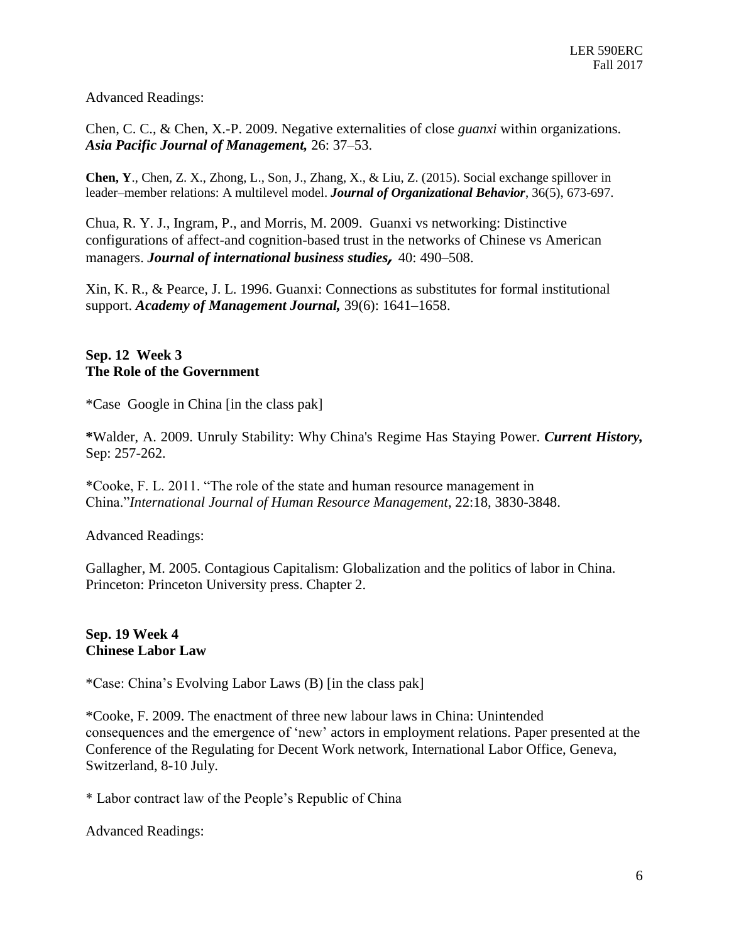Advanced Readings:

Chen, C. C., & Chen, X.-P. 2009. Negative externalities of close *guanxi* within organizations. *Asia Pacific Journal of Management,* 26: 37–53.

**Chen, Y**., Chen, Z. X., Zhong, L., Son, J., Zhang, X., & Liu, Z. (2015). Social exchange spillover in leader–member relations: A multilevel model. *Journal of Organizational Behavior*, 36(5), 673-697.

Chua, R. Y. J., Ingram, P., and Morris, M. 2009. Guanxi vs networking: Distinctive configurations of affect-and cognition-based trust in the networks of Chinese vs American managers. *Journal of international business studies,* 40: 490–508.

Xin, K. R., & Pearce, J. L. 1996. Guanxi: Connections as substitutes for formal institutional support. *Academy of Management Journal,* 39(6): 1641–1658.

# **Sep. 12 Week 3 The Role of the Government**

\*Case Google in China [in the class pak]

**\***Walder, A. 2009. Unruly Stability: Why China's Regime Has Staying Power. *Current History,* Sep: 257-262.

\*Cooke, F. L. 2011. "The role of the state and human resource management in China."*International Journal of Human Resource Management*, 22:18, 3830-3848.

Advanced Readings:

Gallagher, M. 2005. Contagious Capitalism: Globalization and the politics of labor in China. Princeton: Princeton University press. Chapter 2.

## **Sep. 19 Week 4 Chinese Labor Law**

\*Case: China's Evolving Labor Laws (B) [in the class pak]

\*Cooke, F. 2009. The enactment of three new labour laws in China: Unintended consequences and the emergence of 'new' actors in employment relations. Paper presented at the Conference of the Regulating for Decent Work network, International Labor Office, Geneva, Switzerland, 8-10 July.

\* Labor contract law of the People's Republic of China

Advanced Readings: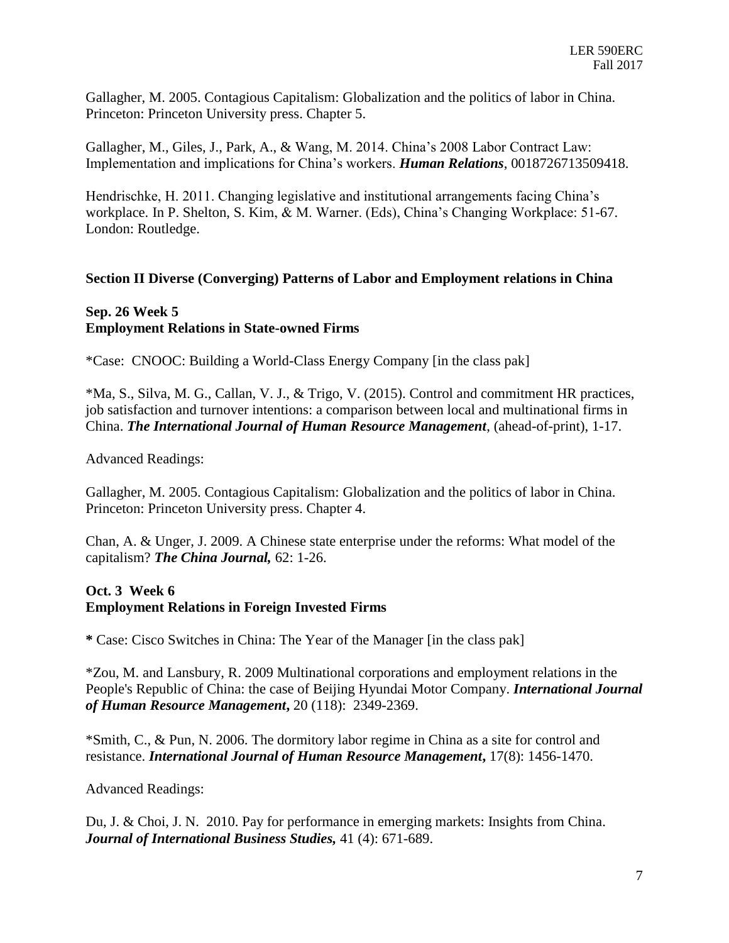Gallagher, M. 2005. Contagious Capitalism: Globalization and the politics of labor in China. Princeton: Princeton University press. Chapter 5.

Gallagher, M., Giles, J., Park, A., & Wang, M. 2014. China's 2008 Labor Contract Law: Implementation and implications for China's workers. *Human Relations*, 0018726713509418.

Hendrischke, H. 2011. Changing legislative and institutional arrangements facing China's workplace. In P. Shelton, S. Kim, & M. Warner. (Eds), China's Changing Workplace: 51-67. London: Routledge.

## **Section II Diverse (Converging) Patterns of Labor and Employment relations in China**

# **Sep. 26 Week 5 Employment Relations in State-owned Firms**

\*Case: CNOOC: Building a World-Class Energy Company [in the class pak]

\*Ma, S., Silva, M. G., Callan, V. J., & Trigo, V. (2015). Control and commitment HR practices, job satisfaction and turnover intentions: a comparison between local and multinational firms in China. *The International Journal of Human Resource Management*, (ahead-of-print), 1-17.

Advanced Readings:

Gallagher, M. 2005. Contagious Capitalism: Globalization and the politics of labor in China. Princeton: Princeton University press. Chapter 4.

Chan, A. & Unger, J. 2009. A Chinese state enterprise under the reforms: What model of the capitalism? *The China Journal,* 62: 1-26.

# **Oct. 3 Week 6 Employment Relations in Foreign Invested Firms**

**\*** Case: Cisco Switches in China: The Year of the Manager [in the class pak]

\*Zou, M. and Lansbury, R. 2009 Multinational corporations and employment relations in the People's Republic of China: the case of Beijing Hyundai Motor Company. *International Journal of Human Resource Management***,** 20 (118): 2349-2369.

[\\*Smith, C.,](http://pure.rhul.ac.uk/portal/en/persons/chris-smith(75296675-16c8-4823-8095-eb5ab7e3961b).html) & Pun, N. 2006. [The dormitory labor regime in China as a site for control and](http://pure.rhul.ac.uk/portal/en/publications/the-dormitory-labour-regime-in-china-as-a-site-for-control-and-resistance(a0bc38a3-57d2-4f55-858e-69624515e7a7).html)  [resistance.](http://pure.rhul.ac.uk/portal/en/publications/the-dormitory-labour-regime-in-china-as-a-site-for-control-and-resistance(a0bc38a3-57d2-4f55-858e-69624515e7a7).html) *International Journal of Human Resource Management***,** 17(8): 1456-1470.

Advanced Readings:

Du, J. & Choi, J. N. 2010. Pay for performance in emerging markets: Insights from China. *[Journal of International Business Studies,](http://www.ingentaconnect.com/content/pal/jibs;jsessionid=971e6u579l89f.alice)* 41 (4): 671-689.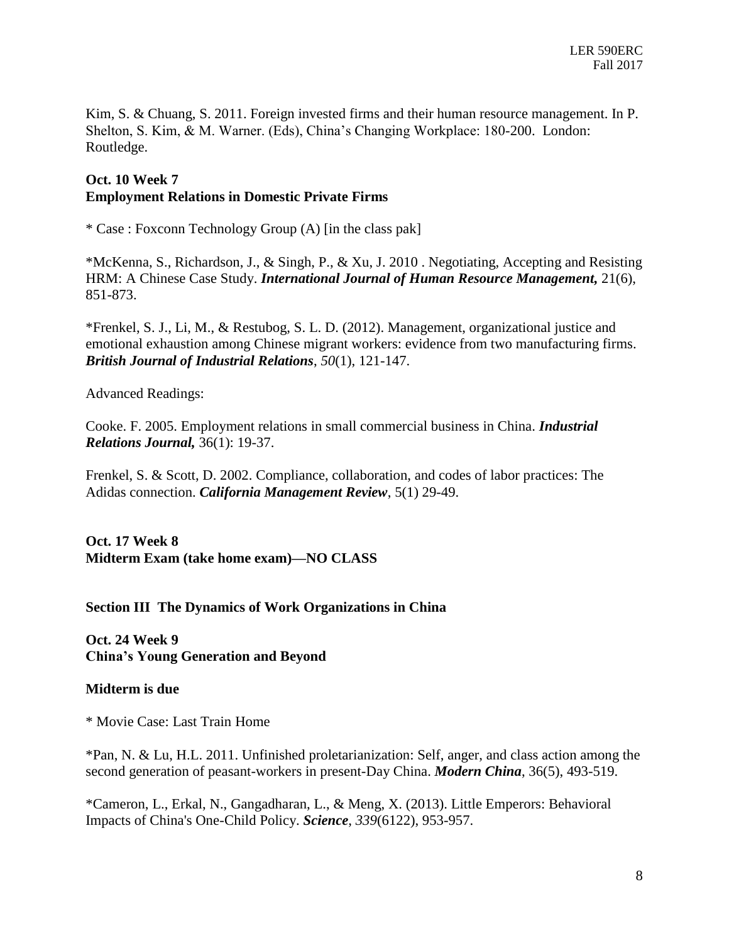Kim, S. & Chuang, S. 2011. Foreign invested firms and their human resource management. In P. Shelton, S. Kim, & M. Warner. (Eds), China's Changing Workplace: 180-200. London: Routledge.

## **Oct. 10 Week 7 Employment Relations in Domestic Private Firms**

\* Case : Foxconn Technology Group (A) [in the class pak]

\*McKenna, S., Richardson, J., & Singh, P., & Xu, J. 2010 . Negotiating, Accepting and Resisting HRM: A Chinese Case Study. *International Journal of Human Resource Management,* 21(6), 851-873.

\*Frenkel, S. J., Li, M., & Restubog, S. L. D. (2012). Management, organizational justice and emotional exhaustion among Chinese migrant workers: evidence from two manufacturing firms. *British Journal of Industrial Relations*, *50*(1), 121-147.

Advanced Readings:

Cooke. F. 2005. Employment relations in small commercial business in China. *Industrial Relations Journal,* 36(1): 19-37.

Frenkel, S. & Scott, D. 2002. Compliance, collaboration, and codes of labor practices: The Adidas connection. *California Management Review*, 5(1) 29-49.

**Oct. 17 Week 8 Midterm Exam (take home exam)—NO CLASS**

**Section III The Dynamics of Work Organizations in China**

**Oct. 24 Week 9 China's Young Generation and Beyond**

## **Midterm is due**

\* Movie Case: Last Train Home

\*Pan, N. & Lu, H.L. 2011. Unfinished proletarianization: Self, anger, and class action among the second generation of peasant-workers in present-Day China. *Modern China*, 36(5), 493-519.

\*Cameron, L., Erkal, N., Gangadharan, L., & Meng, X. (2013). Little Emperors: Behavioral Impacts of China's One-Child Policy. *Science*, *339*(6122), 953-957.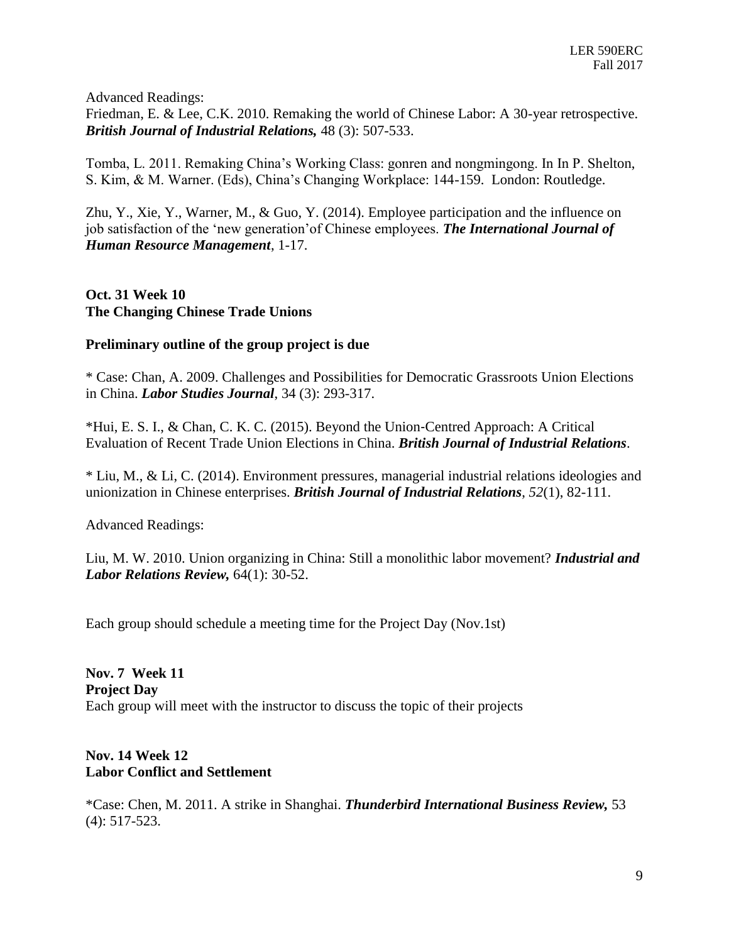Advanced Readings:

Friedman, E. & Lee, C.K. 2010. Remaking the world of Chinese Labor: A 30-year retrospective. *British Journal of Industrial Relations,* 48 (3): 507-533.

Tomba, L. 2011. Remaking China's Working Class: gonren and nongmingong. In In P. Shelton, S. Kim, & M. Warner. (Eds), China's Changing Workplace: 144-159. London: Routledge.

Zhu, Y., Xie, Y., Warner, M., & Guo, Y. (2014). Employee participation and the influence on job satisfaction of the 'new generation'of Chinese employees. *The International Journal of Human Resource Management*, 1-17.

**Oct. 31 Week 10 The Changing Chinese Trade Unions**

# **Preliminary outline of the group project is due**

\* Case: Chan, A. 2009. Challenges and Possibilities for Democratic Grassroots Union Elections in China. *Labor Studies Journal*, 34 (3): 293-317.

\*Hui, E. S. I., & Chan, C. K. C. (2015). Beyond the Union‐Centred Approach: A Critical Evaluation of Recent Trade Union Elections in China. *British Journal of Industrial Relations*.

\* Liu, M., & Li, C. (2014). Environment pressures, managerial industrial relations ideologies and unionization in Chinese enterprises. *British Journal of Industrial Relations*, *52*(1), 82-111.

Advanced Readings:

Liu, M. W. 2010. Union organizing in China: Still a monolithic labor movement? *Industrial and Labor Relations Review,* 64(1): 30-52.

Each group should schedule a meeting time for the Project Day (Nov.1st)

**Nov. 7 Week 11 Project Day** Each group will meet with the instructor to discuss the topic of their projects

# **Nov. 14 Week 12 Labor Conflict and Settlement**

\*Case: Chen, M. 2011. A strike in Shanghai. *Thunderbird International Business Review,* 53 (4): 517-523.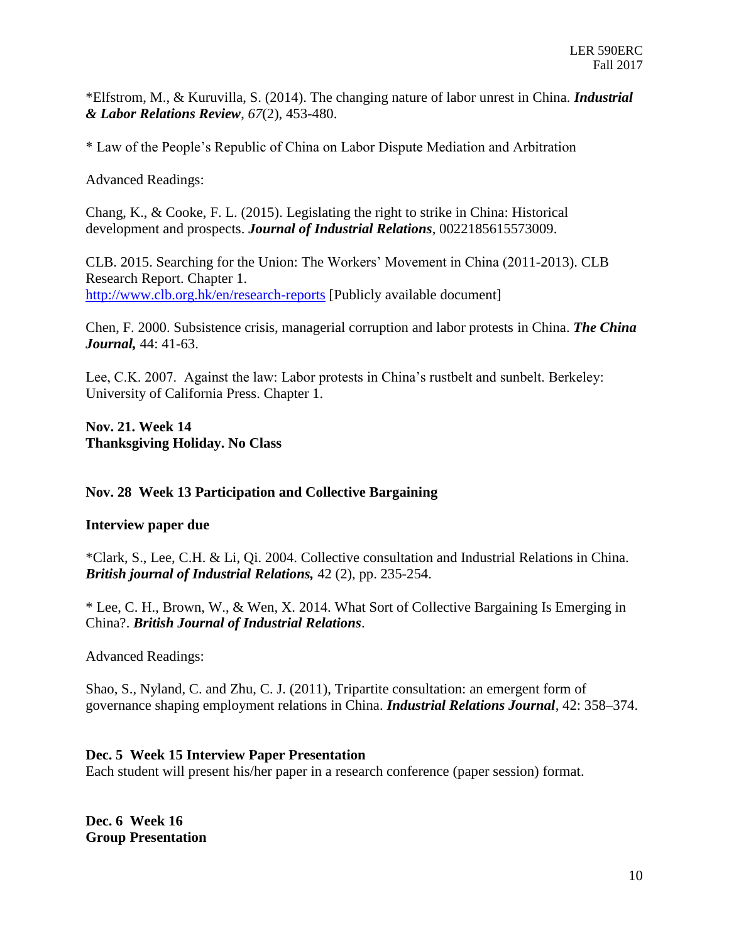\*Elfstrom, M., & Kuruvilla, S. (2014). The changing nature of labor unrest in China. *Industrial & Labor Relations Review*, *67*(2), 453-480.

\* Law of the People's Republic of China on Labor Dispute Mediation and Arbitration

Advanced Readings:

Chang, K., & Cooke, F. L. (2015). Legislating the right to strike in China: Historical development and prospects. *Journal of Industrial Relations*, 0022185615573009.

CLB. 2015. Searching for the Union: The Workers' Movement in China (2011-2013). CLB Research Report. Chapter 1. <http://www.clb.org.hk/en/research-reports> [Publicly available document]

Chen, F. 2000. Subsistence crisis, managerial corruption and labor protests in China. *The China Journal,* 44: 41-63.

Lee, C.K. 2007. Against the law: Labor protests in China's rustbelt and sunbelt. Berkeley: University of California Press. Chapter 1.

**Nov. 21. Week 14 Thanksgiving Holiday. No Class**

## **Nov. 28 Week 13 Participation and Collective Bargaining**

## **Interview paper due**

\*Clark, S., Lee, C.H. & Li, Qi. 2004. Collective consultation and Industrial Relations in China. *British journal of Industrial Relations,* 42 (2), pp. 235-254.

\* Lee, C. H., Brown, W., & Wen, X. 2014. What Sort of Collective Bargaining Is Emerging in China?. *British Journal of Industrial Relations*.

Advanced Readings:

Shao, S., Nyland, C. and Zhu, C. J. (2011), Tripartite consultation: an emergent form of governance shaping employment relations in China. *Industrial Relations Journal*, 42: 358–374.

## **Dec. 5 Week 15 Interview Paper Presentation**

Each student will present his/her paper in a research conference (paper session) format.

**Dec. 6 Week 16 Group Presentation**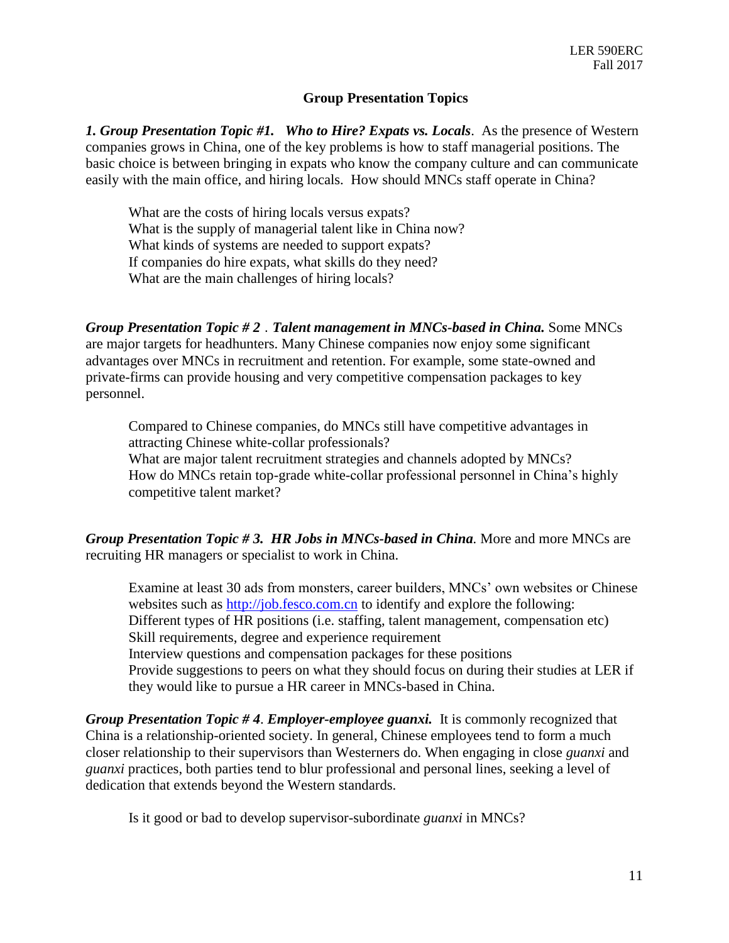#### **Group Presentation Topics**

*1. Group Presentation Topic #1. Who to Hire? Expats vs. Locals*. As the presence of Western companies grows in China, one of the key problems is how to staff managerial positions. The basic choice is between bringing in expats who know the company culture and can communicate easily with the main office, and hiring locals. How should MNCs staff operate in China?

What are the costs of hiring locals versus expats? What is the supply of managerial talent like in China now? What kinds of systems are needed to support expats? If companies do hire expats, what skills do they need? What are the main challenges of hiring locals?

*Group Presentation Topic # 2* . *Talent management in MNCs-based in China.* Some MNCs are major targets for headhunters. Many Chinese companies now enjoy some significant advantages over MNCs in recruitment and retention. For example, some state-owned and private-firms can provide housing and very competitive compensation packages to key personnel.

Compared to Chinese companies, do MNCs still have competitive advantages in attracting Chinese white-collar professionals? What are major talent recruitment strategies and channels adopted by MNCs?

How do MNCs retain top-grade white-collar professional personnel in China's highly competitive talent market?

*Group Presentation Topic # 3. HR Jobs in MNCs-based in China.* More and more MNCs are recruiting HR managers or specialist to work in China.

Examine at least 30 ads from monsters, career builders, MNCs' own websites or Chinese websites such as [http://job.fesco.com.cn](http://job.fesco.com.cn/) to identify and explore the following: Different types of HR positions (i.e. staffing, talent management, compensation etc) Skill requirements, degree and experience requirement Interview questions and compensation packages for these positions Provide suggestions to peers on what they should focus on during their studies at LER if they would like to pursue a HR career in MNCs-based in China.

*Group Presentation Topic # 4*. *Employer-employee guanxi.* It is commonly recognized that China is a relationship-oriented society. In general, Chinese employees tend to form a much closer relationship to their supervisors than Westerners do. When engaging in close *guanxi* and *guanxi* practices, both parties tend to blur professional and personal lines, seeking a level of dedication that extends beyond the Western standards.

Is it good or bad to develop supervisor-subordinate *guanxi* in MNCs?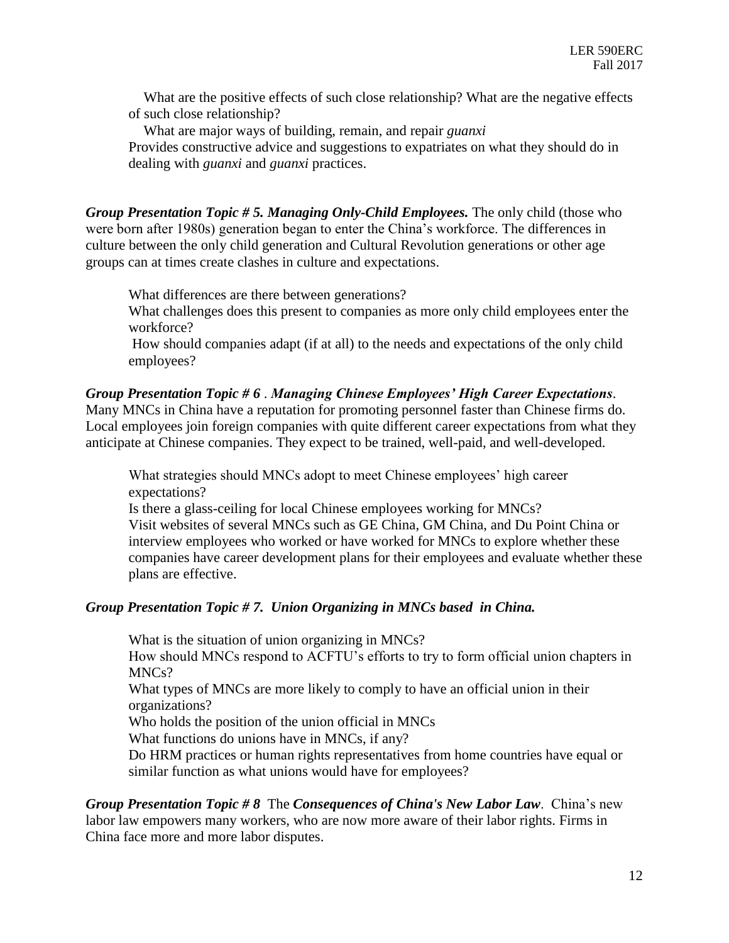What are the positive effects of such close relationship? What are the negative effects of such close relationship?

What are major ways of building, remain, and repair *guanxi*

Provides constructive advice and suggestions to expatriates on what they should do in dealing with *guanxi* and *guanxi* practices.

*Group Presentation Topic # 5. Managing Only-Child Employees.* The only child (those who were born after 1980s) generation began to enter the China's workforce. The differences in culture between the only child generation and Cultural Revolution generations or other age groups can at times create clashes in culture and expectations.

What differences are there between generations?

What challenges does this present to companies as more only child employees enter the workforce?

How should companies adapt (if at all) to the needs and expectations of the only child employees?

# *Group Presentation Topic # 6* . *Managing Chinese Employees' High Career Expectations*.

Many MNCs in China have a reputation for promoting personnel faster than Chinese firms do. Local employees join foreign companies with quite different career expectations from what they anticipate at Chinese companies. They expect to be trained, well-paid, and well-developed.

What strategies should MNCs adopt to meet Chinese employees' high career expectations?

Is there a glass-ceiling for local Chinese employees working for MNCs? Visit websites of several MNCs such as GE China, GM China, and Du Point China or interview employees who worked or have worked for MNCs to explore whether these companies have career development plans for their employees and evaluate whether these plans are effective.

## *Group Presentation Topic # 7. Union Organizing in MNCs based in China.*

What is the situation of union organizing in MNCs?

How should MNCs respond to ACFTU's efforts to try to form official union chapters in MNCs?

What types of MNCs are more likely to comply to have an official union in their organizations?

Who holds the position of the union official in MNCs

What functions do unions have in MNCs, if any?

Do HRM practices or human rights representatives from home countries have equal or similar function as what unions would have for employees?

*Group Presentation Topic # 8* The *Consequences of China's New Labor Law*. China's new labor law empowers many workers, who are now more aware of their labor rights. Firms in China face more and more labor disputes.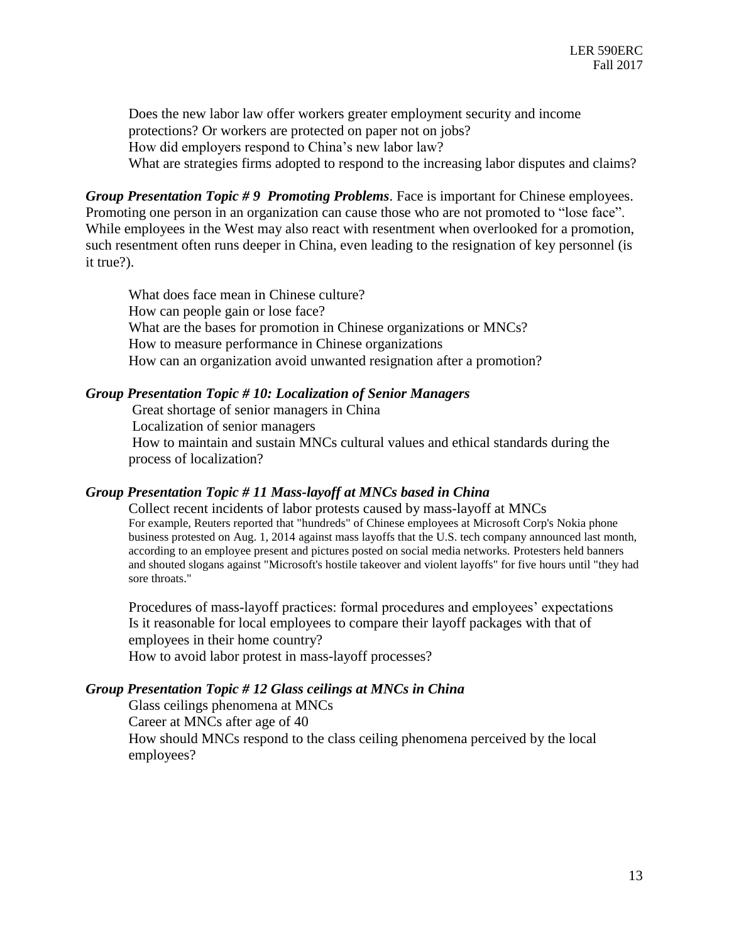Does the new labor law offer workers greater employment security and income protections? Or workers are protected on paper not on jobs? How did employers respond to China's new labor law? What are strategies firms adopted to respond to the increasing labor disputes and claims?

*Group Presentation Topic # 9 Promoting Problems*. Face is important for Chinese employees. Promoting one person in an organization can cause those who are not promoted to "lose face". While employees in the West may also react with resentment when overlooked for a promotion, such resentment often runs deeper in China, even leading to the resignation of key personnel (is it true?).

What does face mean in Chinese culture? How can people gain or lose face? What are the bases for promotion in Chinese organizations or MNCs? How to measure performance in Chinese organizations How can an organization avoid unwanted resignation after a promotion?

#### *Group Presentation Topic # 10: Localization of Senior Managers*

Great shortage of senior managers in China

Localization of senior managers

How to maintain and sustain MNCs cultural values and ethical standards during the process of localization?

#### *Group Presentation Topic # 11 Mass-layoff at MNCs based in China*

 Collect recent incidents of labor protests caused by mass-layoff at MNCs For example, Reuters reported that "hundreds" of Chinese employees at [Microsoft](http://www.reuters.com/finance/stocks/overview?symbol=MSFT.O&lc=int_mb_1001) Corp'[s Nokia](http://www.reuters.com/finance/stocks/overview?symbol=NOK&lc=int_mb_1001) phone business protested on Aug. 1, 2014 against mass layoffs that the U.S. tech company announced last month, according to an employee present and pictures posted on social media networks. Protesters held banners and shouted slogans against "Microsoft's hostile takeover and violent layoffs" for five hours until "they had sore throats."

Procedures of mass-layoff practices: formal procedures and employees' expectations Is it reasonable for local employees to compare their layoff packages with that of employees in their home country? How to avoid labor protest in mass-layoff processes?

#### *Group Presentation Topic # 12 Glass ceilings at MNCs in China*

Glass ceilings phenomena at MNCs Career at MNCs after age of 40 How should MNCs respond to the class ceiling phenomena perceived by the local employees?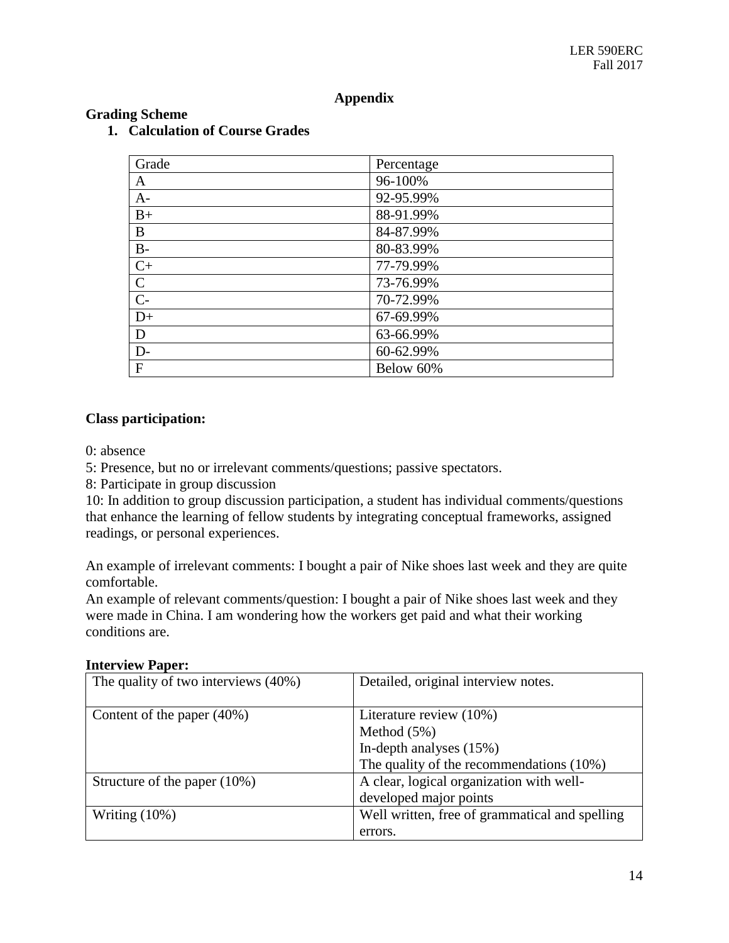# **Appendix**

| Grade        | Percentage |
|--------------|------------|
| A            | 96-100%    |
| $A-$         | 92-95.99%  |
| $B+$         | 88-91.99%  |
| B            | 84-87.99%  |
| $B-$         | 80-83.99%  |
| $C+$         | 77-79.99%  |
| $\mathsf{C}$ | 73-76.99%  |
| $C-$         | 70-72.99%  |
| $D+$         | 67-69.99%  |
| D            | 63-66.99%  |
| D-           | 60-62.99%  |
| F            | Below 60%  |

# **Grading Scheme**

# **1. Calculation of Course Grades**

## **Class participation:**

0: absence

5: Presence, but no or irrelevant comments/questions; passive spectators.

8: Participate in group discussion

10: In addition to group discussion participation, a student has individual comments/questions that enhance the learning of fellow students by integrating conceptual frameworks, assigned readings, or personal experiences.

An example of irrelevant comments: I bought a pair of Nike shoes last week and they are quite comfortable.

An example of relevant comments/question: I bought a pair of Nike shoes last week and they were made in China. I am wondering how the workers get paid and what their working conditions are.

| The quality of two interviews (40%) | Detailed, original interview notes.            |
|-------------------------------------|------------------------------------------------|
| Content of the paper $(40\%)$       | Literature review (10%)                        |
|                                     | Method $(5%)$                                  |
|                                     | In-depth analyses $(15%)$                      |
|                                     | The quality of the recommendations $(10\%)$    |
| Structure of the paper $(10\%)$     | A clear, logical organization with well-       |
|                                     | developed major points                         |
| Writing $(10\%)$                    | Well written, free of grammatical and spelling |
|                                     | errors.                                        |

## **Interview Paper:**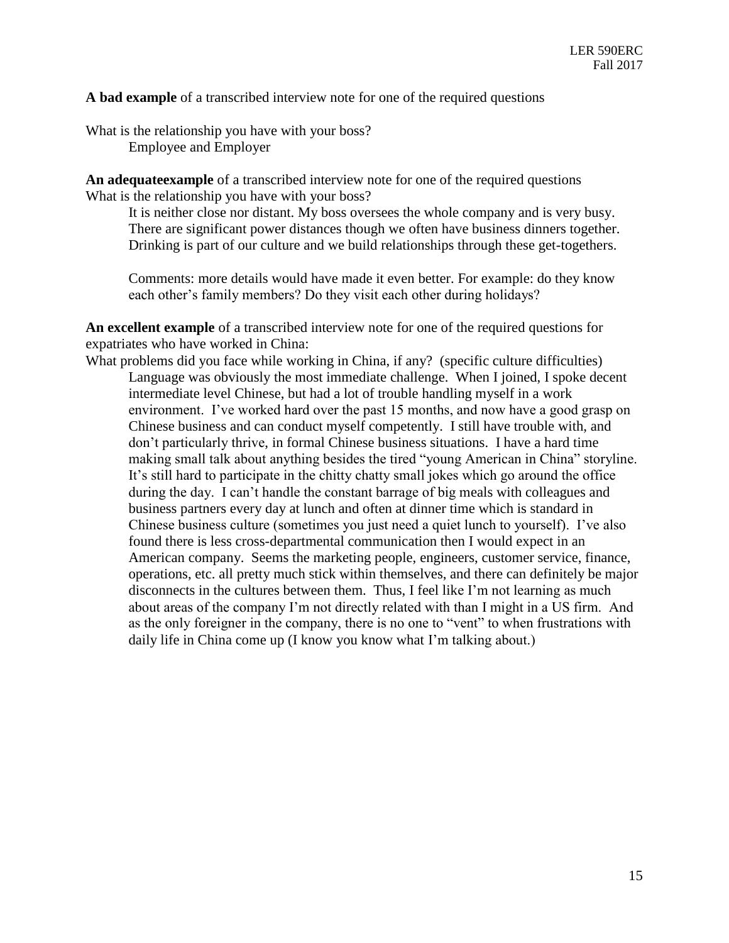**A bad example** of a transcribed interview note for one of the required questions

What is the relationship you have with your boss? Employee and Employer

**An adequateexample** of a transcribed interview note for one of the required questions What is the relationship you have with your boss?

It is neither close nor distant. My boss oversees the whole company and is very busy. There are significant power distances though we often have business dinners together. Drinking is part of our culture and we build relationships through these get-togethers.

Comments: more details would have made it even better. For example: do they know each other's family members? Do they visit each other during holidays?

**An excellent example** of a transcribed interview note for one of the required questions for expatriates who have worked in China:

What problems did you face while working in China, if any? (specific culture difficulties) Language was obviously the most immediate challenge. When I joined, I spoke decent intermediate level Chinese, but had a lot of trouble handling myself in a work environment. I've worked hard over the past 15 months, and now have a good grasp on Chinese business and can conduct myself competently. I still have trouble with, and don't particularly thrive, in formal Chinese business situations. I have a hard time making small talk about anything besides the tired "young American in China" storyline. It's still hard to participate in the chitty chatty small jokes which go around the office during the day. I can't handle the constant barrage of big meals with colleagues and business partners every day at lunch and often at dinner time which is standard in Chinese business culture (sometimes you just need a quiet lunch to yourself). I've also found there is less cross-departmental communication then I would expect in an American company. Seems the marketing people, engineers, customer service, finance, operations, etc. all pretty much stick within themselves, and there can definitely be major disconnects in the cultures between them. Thus, I feel like I'm not learning as much about areas of the company I'm not directly related with than I might in a US firm. And as the only foreigner in the company, there is no one to "vent" to when frustrations with daily life in China come up (I know you know what I'm talking about.)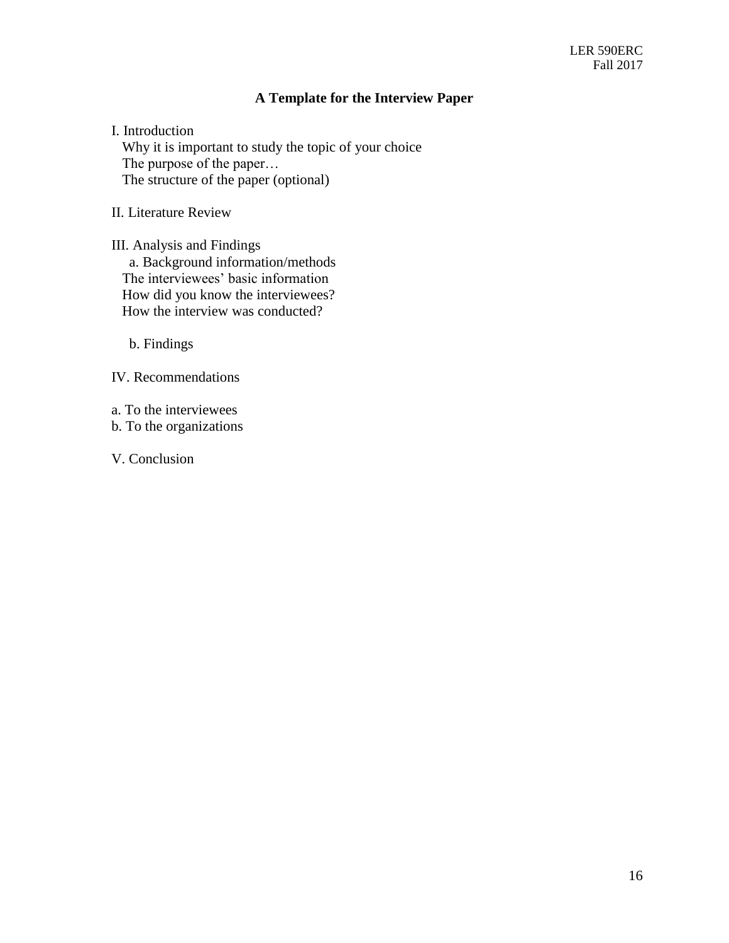# **A Template for the Interview Paper**

I. Introduction

Why it is important to study the topic of your choice The purpose of the paper… The structure of the paper (optional)

II. Literature Review

III. Analysis and Findings a. Background information/methods The interviewees' basic information How did you know the interviewees? How the interview was conducted?

b. Findings

IV. Recommendations

a. To the interviewees

b. To the organizations

V. Conclusion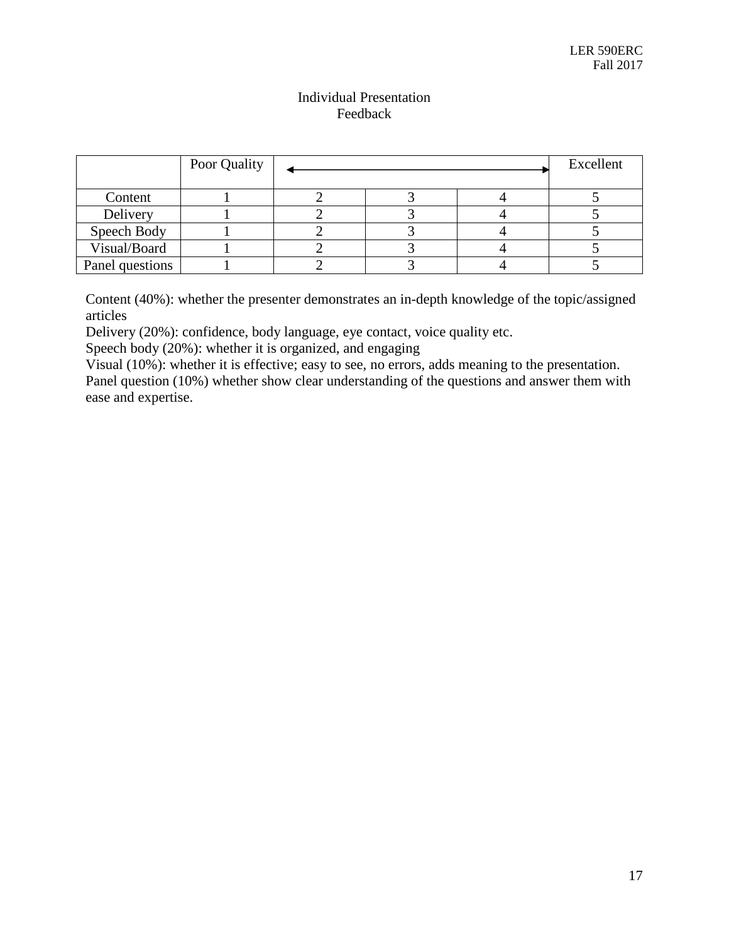# Individual Presentation Feedback

|                 | Poor Quality |  |  |  | Excellent |
|-----------------|--------------|--|--|--|-----------|
| Content         |              |  |  |  |           |
| Delivery        |              |  |  |  |           |
| Speech Body     |              |  |  |  |           |
| Visual/Board    |              |  |  |  |           |
| Panel questions |              |  |  |  |           |

Content (40%): whether the presenter demonstrates an in-depth knowledge of the topic/assigned articles

Delivery (20%): confidence, body language, eye contact, voice quality etc.

Speech body (20%): whether it is organized, and engaging

Visual (10%): whether it is effective; easy to see, no errors, adds meaning to the presentation. Panel question (10%) whether show clear understanding of the questions and answer them with ease and expertise.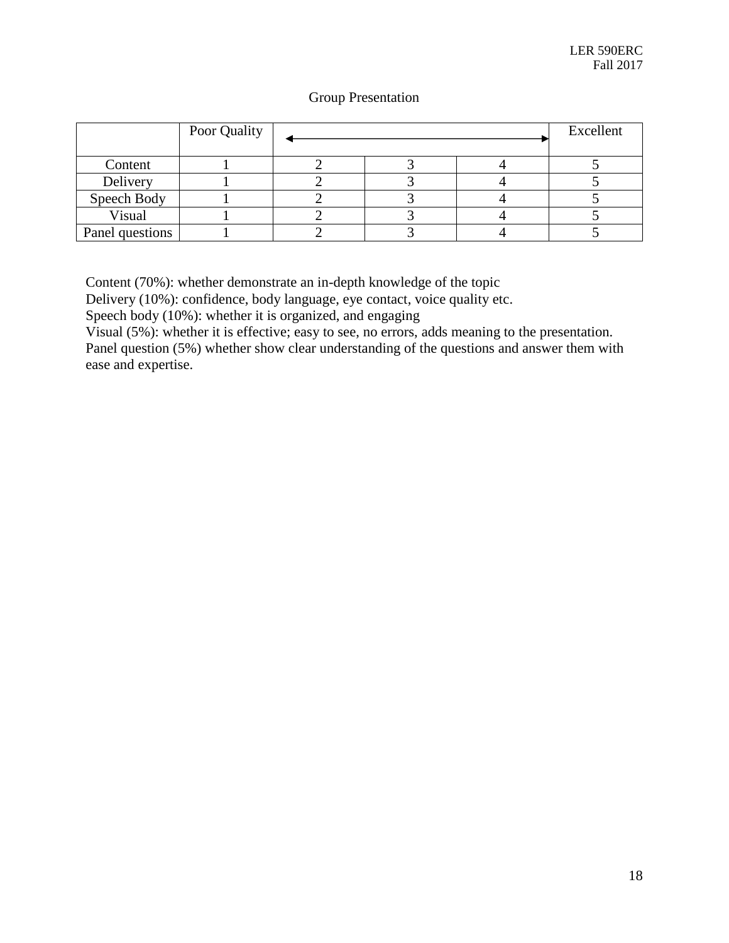# Group Presentation

|                 | Poor Quality |  | Excellent |  |
|-----------------|--------------|--|-----------|--|
| Content         |              |  |           |  |
| Delivery        |              |  |           |  |
| Speech Body     |              |  |           |  |
| Visual          |              |  |           |  |
| Panel questions |              |  |           |  |

Content (70%): whether demonstrate an in-depth knowledge of the topic

Delivery (10%): confidence, body language, eye contact, voice quality etc.

Speech body (10%): whether it is organized, and engaging

Visual (5%): whether it is effective; easy to see, no errors, adds meaning to the presentation. Panel question (5%) whether show clear understanding of the questions and answer them with ease and expertise.